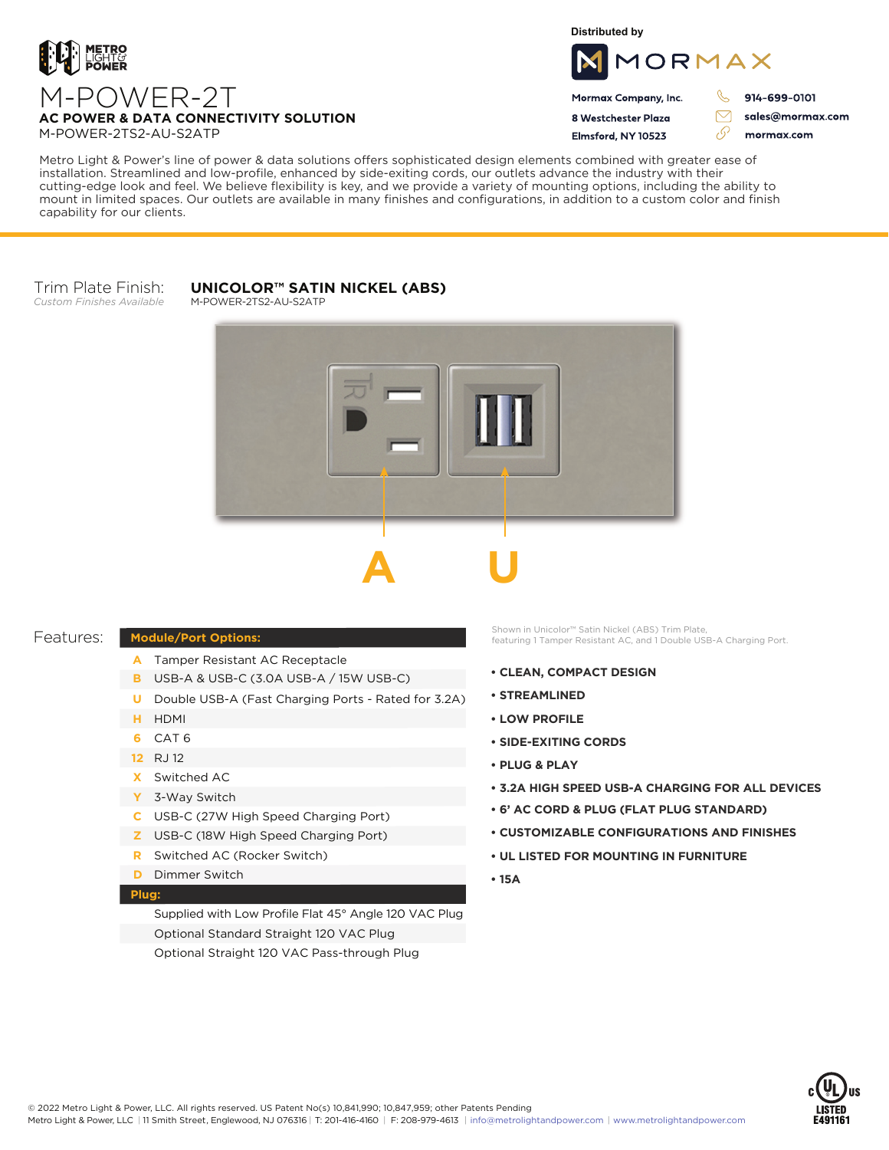

**Distributed by**



Mormax Company, Inc. 8 Westchester Plaza

Flmsford, NY 10523

914-699-0101

 $\triangledown$ 

76

sales@mormax.com mormax.com

Metro Light & Power's line of power & data solutions offers sophisticated design elements combined with greater ease of

installation. Streamlined and low-profile, enhanced by side-exiting cords, our outlets advance the industry with their cutting-edge look and feel. We believe flexibility is key, and we provide a variety of mounting options, including the ability to mount in limited spaces. Our outlets are available in many finishes and configurations, in addition to a custom color and finish capability for our clients.

#### Trim Plate Finish: *Custom Finishes Available*

## **UNICOLOR™ SATIN NICKEL (ABS)**

M-POWER-2TS2-AU-S2ATP



### Features:

- A Tamper Resistant AC Receptacle
- USB-A & USB-C (3.0A USB-A / 15W USB-C) **B**
- U Double USB-A (Fast Charging Ports Rated for 3.2A)
- HDMI **H**
- CAT 6 **6**
- 12 RJ 12
- Switched AC **X**

**Module/Port Options:**

- 3-Way Switch **Y**
- USB-C (27W High Speed Charging Port) **C**
- USB-C (18W High Speed Charging Port) **Z**
- Switched AC (Rocker Switch) **R**
- **D** Dimmer Switch

#### **Plug:**

Supplied with Low Profile Flat 45° Angle 120 VAC Plug Optional Standard Straight 120 VAC Plug Optional Straight 120 VAC Pass-through Plug

Shown in Unicolor™ Satin Nickel (ABS) Trim Plate, featuring 1 Tamper Resistant AC, and 1 Double USB-A Charging Port.

- **CLEAN, COMPACT DESIGN**
- **STREAMLINED**
- **LOW PROFILE**
- **SIDE-EXITING CORDS**
- **PLUG & PLAY**
- **3.2A HIGH SPEED USB-A CHARGING FOR ALL DEVICES**
- **6' AC CORD & PLUG (FLAT PLUG STANDARD)**
- **CUSTOMIZABLE CONFIGURATIONS AND FINISHES**
- **UL LISTED FOR MOUNTING IN FURNITURE**
- **15A**